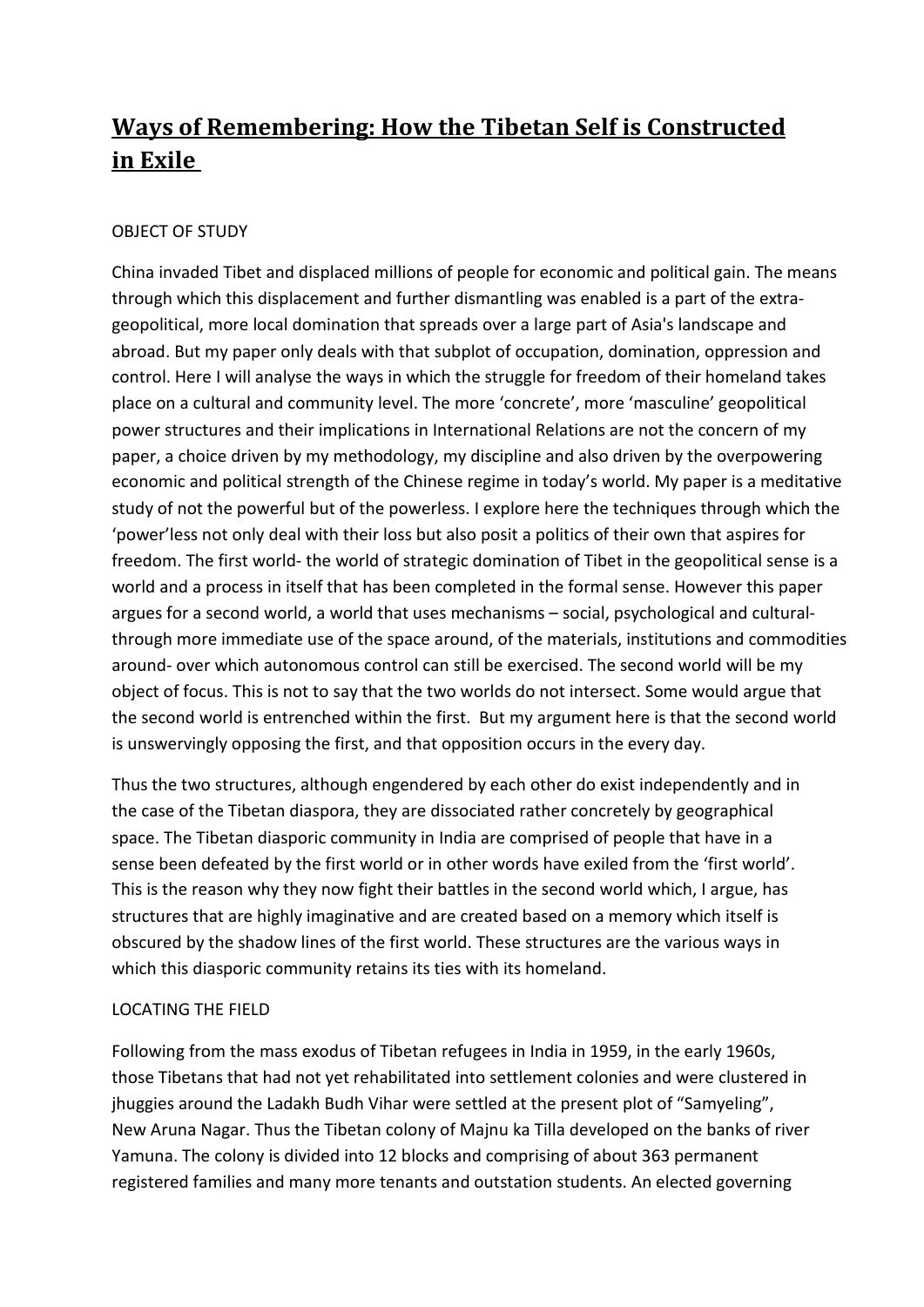# **Ways of Remembering: How the Tibetan Self is Constructed in Exile**

## OBJECT OF STUDY

China invaded Tibet and displaced millions of people for economic and political gain. The means through which this displacement and further dismantling was enabled is a part of the extrageopolitical, more local domination that spreads over a large part of Asia's landscape and abroad. But my paper only deals with that subplot of occupation, domination, oppression and control. Here I will analyse the ways in which the struggle for freedom of their homeland takes place on a cultural and community level. The more 'concrete', more 'masculine' geopolitical power structures and their implications in International Relations are not the concern of my paper, a choice driven by my methodology, my discipline and also driven by the overpowering economic and political strength of the Chinese regime in today's world. My paper is a meditative study of not the powerful but of the powerless. I explore here the techniques through which the 'power'less not only deal with their loss but also posit a politics of their own that aspires for freedom. The first world- the world of strategic domination of Tibet in the geopolitical sense is a world and a process in itself that has been completed in the formal sense. However this paper argues for a second world, a world that uses mechanisms – social, psychological and culturalthrough more immediate use of the space around, of the materials, institutions and commodities around- over which autonomous control can still be exercised. The second world will be my object of focus. This is not to say that the two worlds do not intersect. Some would argue that the second world is entrenched within the first. But my argument here is that the second world is unswervingly opposing the first, and that opposition occurs in the every day.

Thus the two structures, although engendered by each other do exist independently and in the case of the Tibetan diaspora, they are dissociated rather concretely by geographical space. The Tibetan diasporic community in India are comprised of people that have in a sense been defeated by the first world or in other words have exiled from the 'first world'. This is the reason why they now fight their battles in the second world which, I argue, has structures that are highly imaginative and are created based on a memory which itself is obscured by the shadow lines of the first world. These structures are the various ways in which this diasporic community retains its ties with its homeland.

## LOCATING THE FIELD

Following from the mass exodus of Tibetan refugees in India in 1959, in the early 1960s, those Tibetans that had not yet rehabilitated into settlement colonies and were clustered in jhuggies around the Ladakh Budh Vihar were settled at the present plot of "Samyeling", New Aruna Nagar. Thus the Tibetan colony of Majnu ka Tilla developed on the banks of river Yamuna. The colony is divided into 12 blocks and comprising of about 363 permanent registered families and many more tenants and outstation students. An elected governing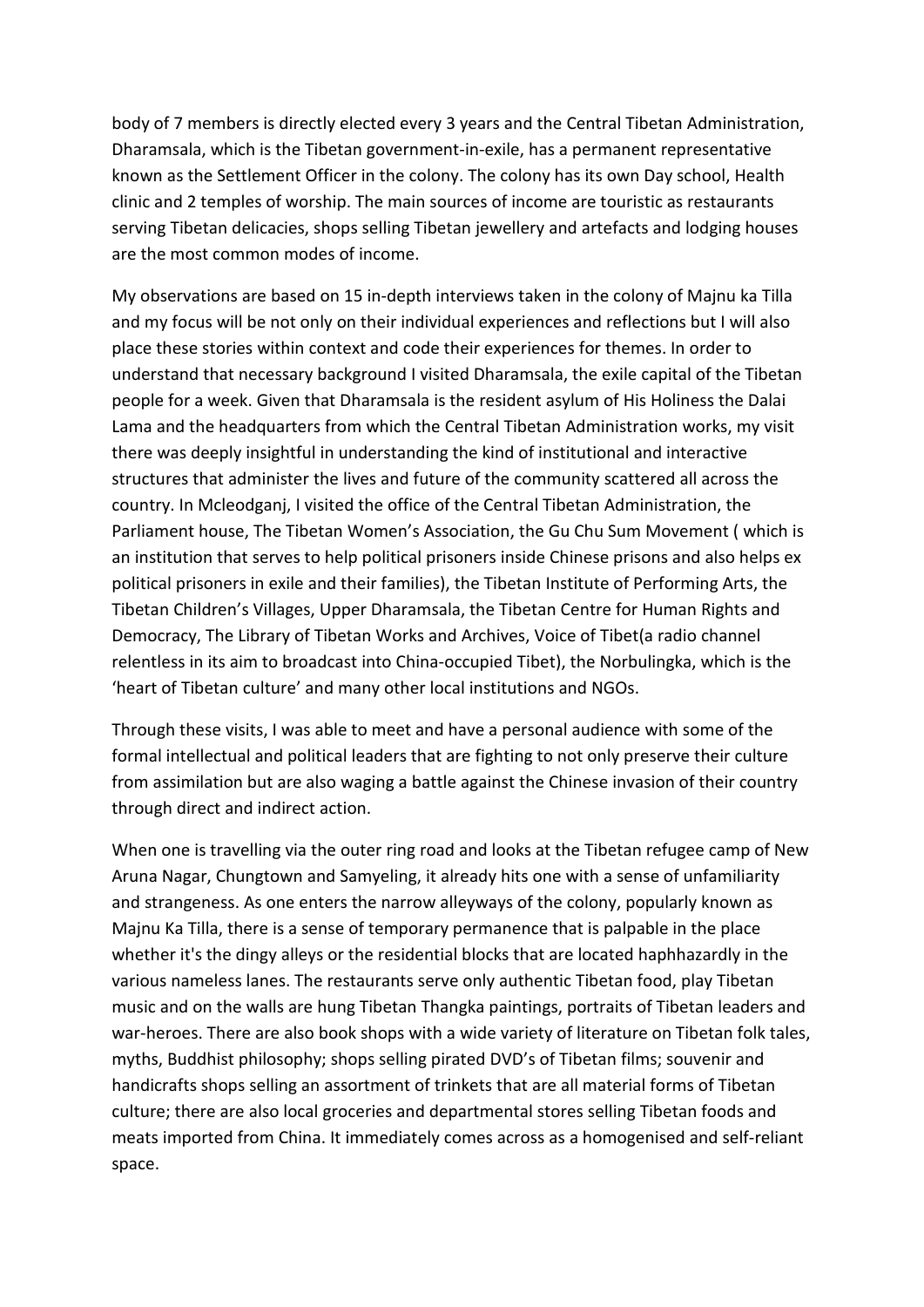body of 7 members is directly elected every 3 years and the Central Tibetan Administration, Dharamsala, which is the Tibetan government-in-exile, has a permanent representative known as the Settlement Officer in the colony. The colony has its own Day school, Health clinic and 2 temples of worship. The main sources of income are touristic as restaurants serving Tibetan delicacies, shops selling Tibetan jewellery and artefacts and lodging houses are the most common modes of income.

My observations are based on 15 in-depth interviews taken in the colony of Majnu ka Tilla and my focus will be not only on their individual experiences and reflections but I will also place these stories within context and code their experiences for themes. In order to understand that necessary background I visited Dharamsala, the exile capital of the Tibetan people for a week. Given that Dharamsala is the resident asylum of His Holiness the Dalai Lama and the headquarters from which the Central Tibetan Administration works, my visit there was deeply insightful in understanding the kind of institutional and interactive structures that administer the lives and future of the community scattered all across the country. In Mcleodganj, I visited the office of the Central Tibetan Administration, the Parliament house, The Tibetan Women's Association, the Gu Chu Sum Movement ( which is an institution that serves to help political prisoners inside Chinese prisons and also helps ex political prisoners in exile and their families), the Tibetan Institute of Performing Arts, the Tibetan Children's Villages, Upper Dharamsala, the Tibetan Centre for Human Rights and Democracy, The Library of Tibetan Works and Archives, Voice of Tibet(a radio channel relentless in its aim to broadcast into China-occupied Tibet), the Norbulingka, which is the 'heart of Tibetan culture' and many other local institutions and NGOs.

Through these visits, I was able to meet and have a personal audience with some of the formal intellectual and political leaders that are fighting to not only preserve their culture from assimilation but are also waging a battle against the Chinese invasion of their country through direct and indirect action.

When one is travelling via the outer ring road and looks at the Tibetan refugee camp of New Aruna Nagar, Chungtown and Samyeling, it already hits one with a sense of unfamiliarity and strangeness. As one enters the narrow alleyways of the colony, popularly known as Majnu Ka Tilla, there is a sense of temporary permanence that is palpable in the place whether it's the dingy alleys or the residential blocks that are located haphhazardly in the various nameless lanes. The restaurants serve only authentic Tibetan food, play Tibetan music and on the walls are hung Tibetan Thangka paintings, portraits of Tibetan leaders and war-heroes. There are also book shops with a wide variety of literature on Tibetan folk tales, myths, Buddhist philosophy; shops selling pirated DVD's of Tibetan films; souvenir and handicrafts shops selling an assortment of trinkets that are all material forms of Tibetan culture; there are also local groceries and departmental stores selling Tibetan foods and meats imported from China. It immediately comes across as a homogenised and self-reliant space.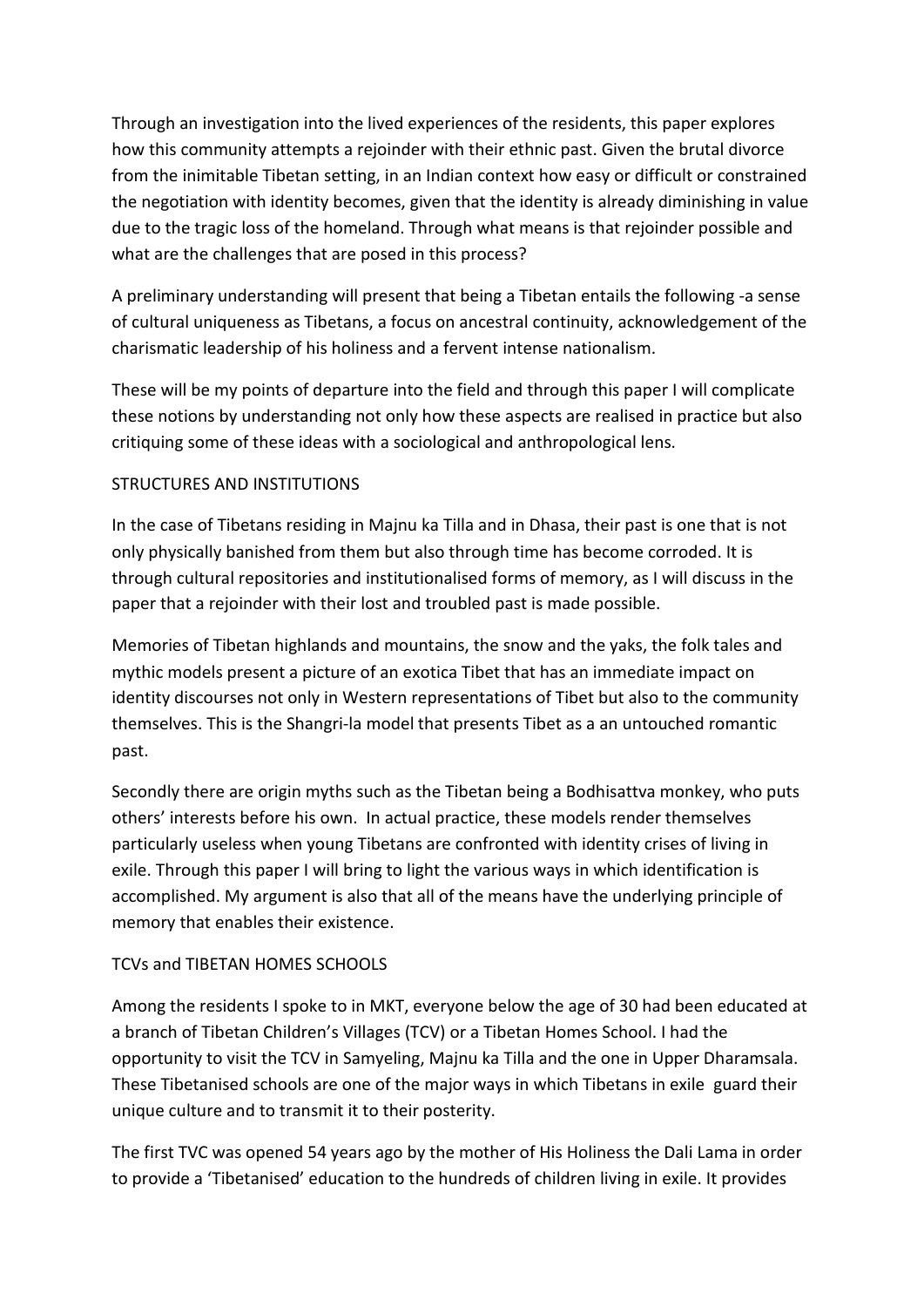Through an investigation into the lived experiences of the residents, this paper explores how this community attempts a rejoinder with their ethnic past. Given the brutal divorce from the inimitable Tibetan setting, in an Indian context how easy or difficult or constrained the negotiation with identity becomes, given that the identity is already diminishing in value due to the tragic loss of the homeland. Through what means is that rejoinder possible and what are the challenges that are posed in this process?

A preliminary understanding will present that being a Tibetan entails the following -a sense of cultural uniqueness as Tibetans, a focus on ancestral continuity, acknowledgement of the charismatic leadership of his holiness and a fervent intense nationalism.

These will be my points of departure into the field and through this paper I will complicate these notions by understanding not only how these aspects are realised in practice but also critiquing some of these ideas with a sociological and anthropological lens.

## STRUCTURES AND INSTITUTIONS

In the case of Tibetans residing in Majnu ka Tilla and in Dhasa, their past is one that is not only physically banished from them but also through time has become corroded. It is through cultural repositories and institutionalised forms of memory, as I will discuss in the paper that a rejoinder with their lost and troubled past is made possible.

Memories of Tibetan highlands and mountains, the snow and the yaks, the folk tales and mythic models present a picture of an exotica Tibet that has an immediate impact on identity discourses not only in Western representations of Tibet but also to the community themselves. This is the Shangri-la model that presents Tibet as a an untouched romantic past.

Secondly there are origin myths such as the Tibetan being a Bodhisattva monkey, who puts others' interests before his own. In actual practice, these models render themselves particularly useless when young Tibetans are confronted with identity crises of living in exile. Through this paper I will bring to light the various ways in which identification is accomplished. My argument is also that all of the means have the underlying principle of memory that enables their existence.

## TCVs and TIBETAN HOMES SCHOOLS

Among the residents I spoke to in MKT, everyone below the age of 30 had been educated at a branch of Tibetan Children's Villages (TCV) or a Tibetan Homes School. I had the opportunity to visit the TCV in Samyeling, Majnu ka Tilla and the one in Upper Dharamsala. These Tibetanised schools are one of the major ways in which Tibetans in exile guard their unique culture and to transmit it to their posterity.

The first TVC was opened 54 years ago by the mother of His Holiness the Dali Lama in order to provide a 'Tibetanised' education to the hundreds of children living in exile. It provides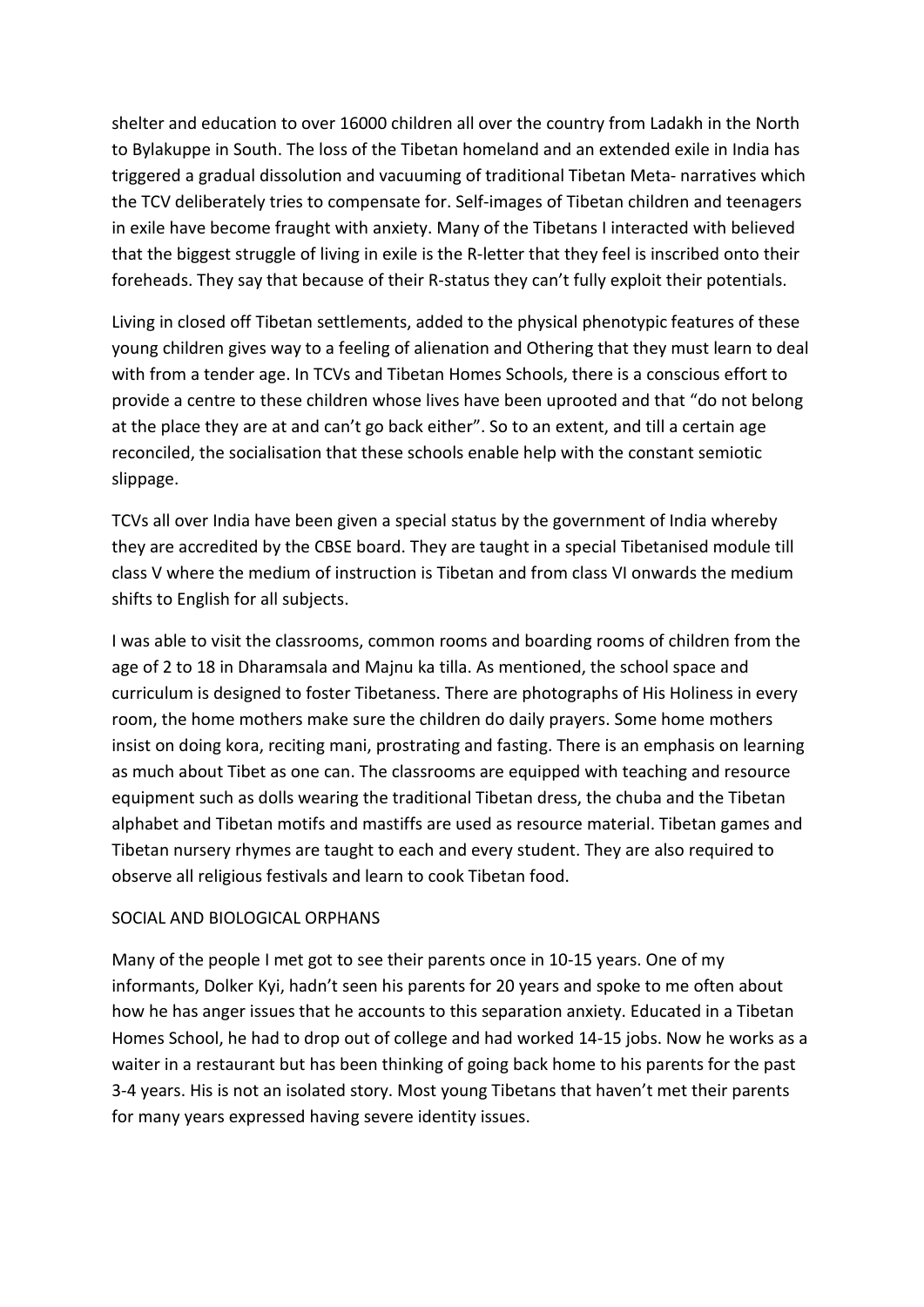shelter and education to over 16000 children all over the country from Ladakh in the North to Bylakuppe in South. The loss of the Tibetan homeland and an extended exile in India has triggered a gradual dissolution and vacuuming of traditional Tibetan Meta- narratives which the TCV deliberately tries to compensate for. Self-images of Tibetan children and teenagers in exile have become fraught with anxiety. Many of the Tibetans I interacted with believed that the biggest struggle of living in exile is the R-letter that they feel is inscribed onto their foreheads. They say that because of their R-status they can't fully exploit their potentials.

Living in closed off Tibetan settlements, added to the physical phenotypic features of these young children gives way to a feeling of alienation and Othering that they must learn to deal with from a tender age. In TCVs and Tibetan Homes Schools, there is a conscious effort to provide a centre to these children whose lives have been uprooted and that "do not belong at the place they are at and can't go back either". So to an extent, and till a certain age reconciled, the socialisation that these schools enable help with the constant semiotic slippage.

TCVs all over India have been given a special status by the government of India whereby they are accredited by the CBSE board. They are taught in a special Tibetanised module till class V where the medium of instruction is Tibetan and from class VI onwards the medium shifts to English for all subjects.

I was able to visit the classrooms, common rooms and boarding rooms of children from the age of 2 to 18 in Dharamsala and Majnu ka tilla. As mentioned, the school space and curriculum is designed to foster Tibetaness. There are photographs of His Holiness in every room, the home mothers make sure the children do daily prayers. Some home mothers insist on doing kora, reciting mani, prostrating and fasting. There is an emphasis on learning as much about Tibet as one can. The classrooms are equipped with teaching and resource equipment such as dolls wearing the traditional Tibetan dress, the chuba and the Tibetan alphabet and Tibetan motifs and mastiffs are used as resource material. Tibetan games and Tibetan nursery rhymes are taught to each and every student. They are also required to observe all religious festivals and learn to cook Tibetan food.

#### SOCIAL AND BIOLOGICAL ORPHANS

Many of the people I met got to see their parents once in 10-15 years. One of my informants, Dolker Kyi, hadn't seen his parents for 20 years and spoke to me often about how he has anger issues that he accounts to this separation anxiety. Educated in a Tibetan Homes School, he had to drop out of college and had worked 14-15 jobs. Now he works as a waiter in a restaurant but has been thinking of going back home to his parents for the past 3-4 years. His is not an isolated story. Most young Tibetans that haven't met their parents for many years expressed having severe identity issues.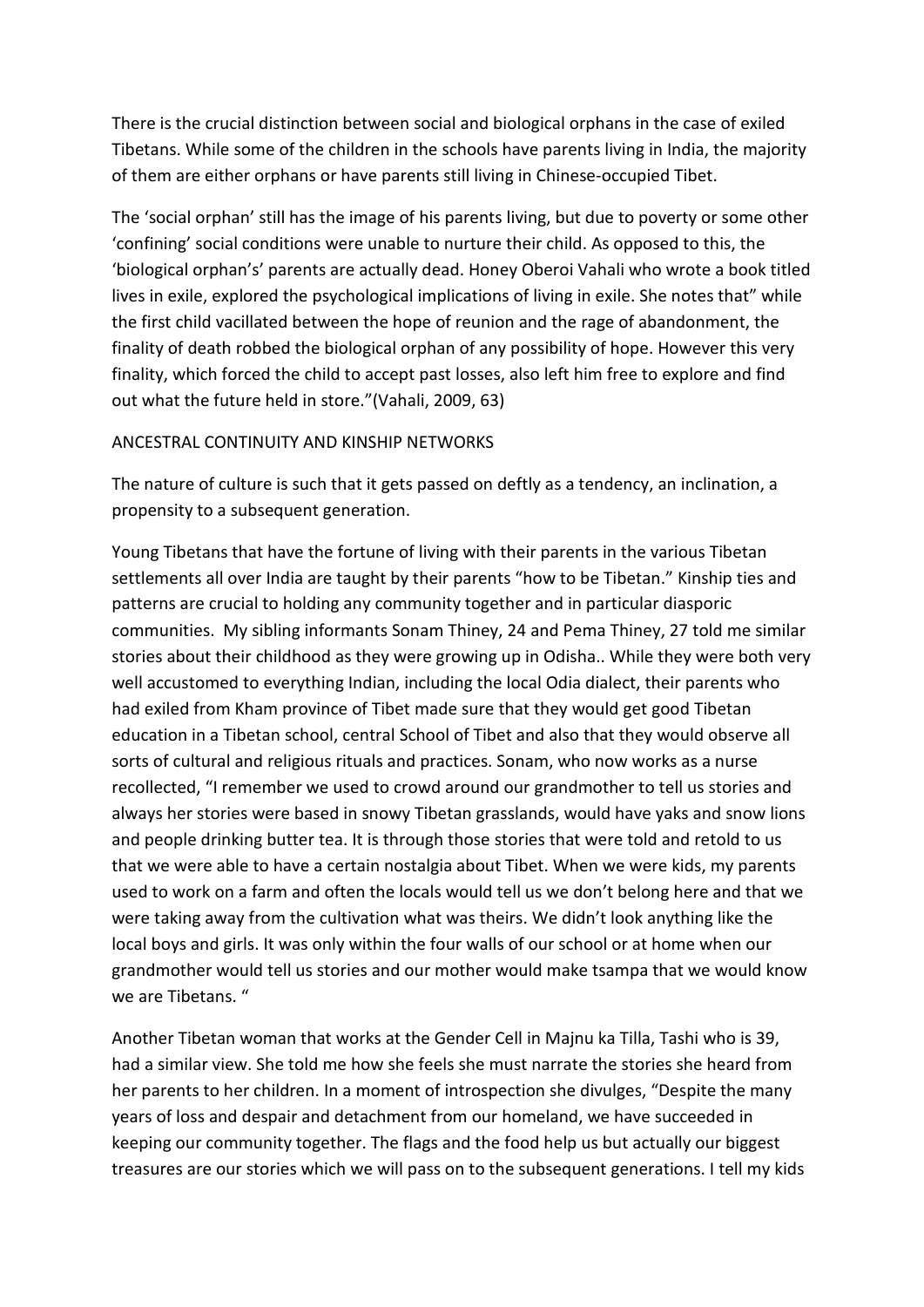There is the crucial distinction between social and biological orphans in the case of exiled Tibetans. While some of the children in the schools have parents living in India, the majority of them are either orphans or have parents still living in Chinese-occupied Tibet.

The 'social orphan' still has the image of his parents living, but due to poverty or some other 'confining' social conditions were unable to nurture their child. As opposed to this, the 'biological orphan's' parents are actually dead. Honey Oberoi Vahali who wrote a book titled lives in exile, explored the psychological implications of living in exile. She notes that" while the first child vacillated between the hope of reunion and the rage of abandonment, the finality of death robbed the biological orphan of any possibility of hope. However this very finality, which forced the child to accept past losses, also left him free to explore and find out what the future held in store."(Vahali, 2009, 63)

#### ANCESTRAL CONTINUITY AND KINSHIP NETWORKS

The nature of culture is such that it gets passed on deftly as a tendency, an inclination, a propensity to a subsequent generation.

Young Tibetans that have the fortune of living with their parents in the various Tibetan settlements all over India are taught by their parents "how to be Tibetan." Kinship ties and patterns are crucial to holding any community together and in particular diasporic communities. My sibling informants Sonam Thiney, 24 and Pema Thiney, 27 told me similar stories about their childhood as they were growing up in Odisha.. While they were both very well accustomed to everything Indian, including the local Odia dialect, their parents who had exiled from Kham province of Tibet made sure that they would get good Tibetan education in a Tibetan school, central School of Tibet and also that they would observe all sorts of cultural and religious rituals and practices. Sonam, who now works as a nurse recollected, "I remember we used to crowd around our grandmother to tell us stories and always her stories were based in snowy Tibetan grasslands, would have yaks and snow lions and people drinking butter tea. It is through those stories that were told and retold to us that we were able to have a certain nostalgia about Tibet. When we were kids, my parents used to work on a farm and often the locals would tell us we don't belong here and that we were taking away from the cultivation what was theirs. We didn't look anything like the local boys and girls. It was only within the four walls of our school or at home when our grandmother would tell us stories and our mother would make tsampa that we would know we are Tibetans. "

Another Tibetan woman that works at the Gender Cell in Majnu ka Tilla, Tashi who is 39, had a similar view. She told me how she feels she must narrate the stories she heard from her parents to her children. In a moment of introspection she divulges, "Despite the many years of loss and despair and detachment from our homeland, we have succeeded in keeping our community together. The flags and the food help us but actually our biggest treasures are our stories which we will pass on to the subsequent generations. I tell my kids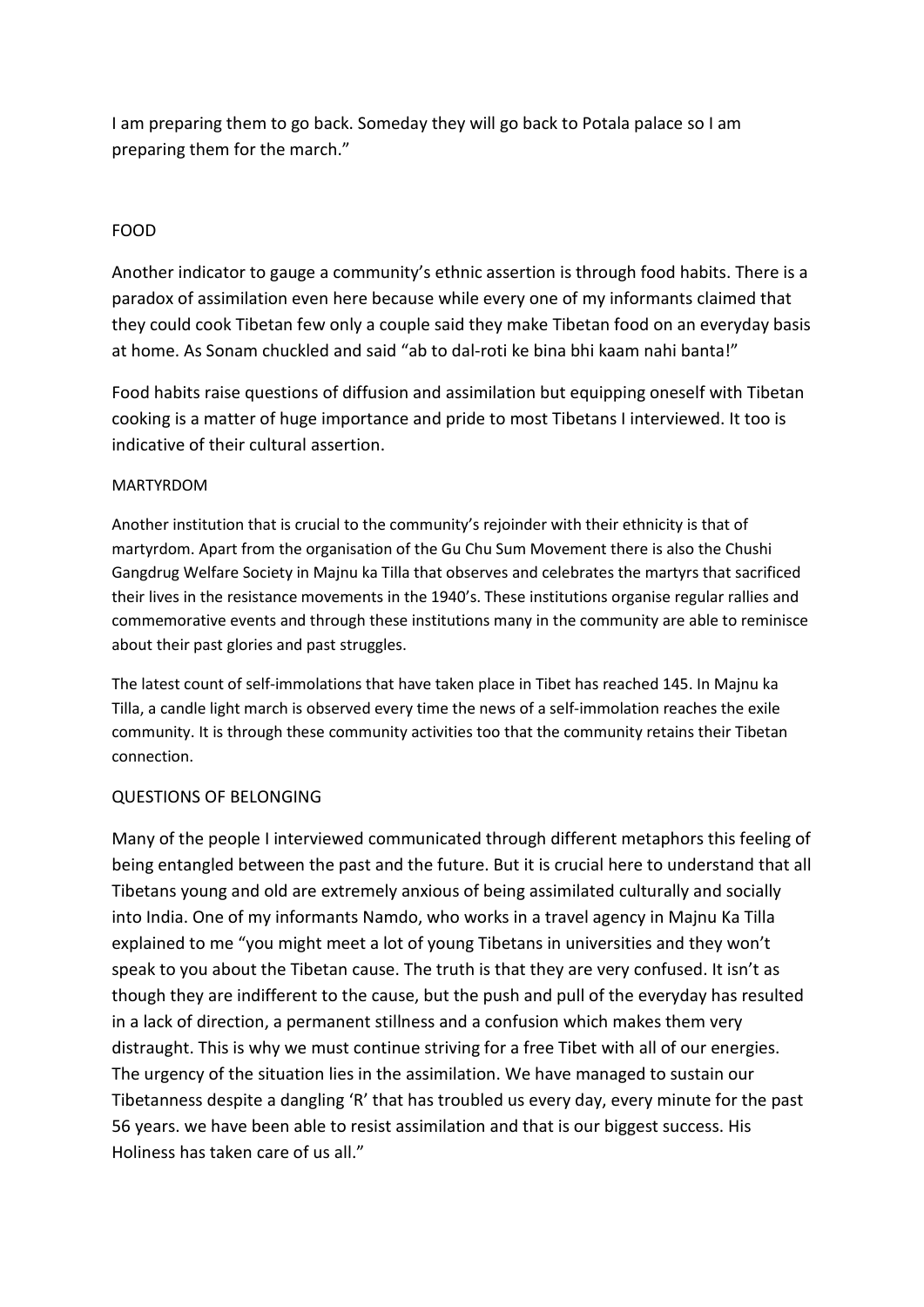I am preparing them to go back. Someday they will go back to Potala palace so I am preparing them for the march."

## FOOD

Another indicator to gauge a community's ethnic assertion is through food habits. There is a paradox of assimilation even here because while every one of my informants claimed that they could cook Tibetan few only a couple said they make Tibetan food on an everyday basis at home. As Sonam chuckled and said "ab to dal-roti ke bina bhi kaam nahi banta!"

Food habits raise questions of diffusion and assimilation but equipping oneself with Tibetan cooking is a matter of huge importance and pride to most Tibetans I interviewed. It too is indicative of their cultural assertion.

#### MARTYRDOM

Another institution that is crucial to the community's rejoinder with their ethnicity is that of martyrdom. Apart from the organisation of the Gu Chu Sum Movement there is also the Chushi Gangdrug Welfare Society in Majnu ka Tilla that observes and celebrates the martyrs that sacrificed their lives in the resistance movements in the 1940's. These institutions organise regular rallies and commemorative events and through these institutions many in the community are able to reminisce about their past glories and past struggles.

The latest count of self-immolations that have taken place in Tibet has reached 145. In Majnu ka Tilla, a candle light march is observed every time the news of a self-immolation reaches the exile community. It is through these community activities too that the community retains their Tibetan connection.

#### QUESTIONS OF BELONGING

Many of the people I interviewed communicated through different metaphors this feeling of being entangled between the past and the future. But it is crucial here to understand that all Tibetans young and old are extremely anxious of being assimilated culturally and socially into India. One of my informants Namdo, who works in a travel agency in Majnu Ka Tilla explained to me "you might meet a lot of young Tibetans in universities and they won't speak to you about the Tibetan cause. The truth is that they are very confused. It isn't as though they are indifferent to the cause, but the push and pull of the everyday has resulted in a lack of direction, a permanent stillness and a confusion which makes them very distraught. This is why we must continue striving for a free Tibet with all of our energies. The urgency of the situation lies in the assimilation. We have managed to sustain our Tibetanness despite a dangling 'R' that has troubled us every day, every minute for the past 56 years. we have been able to resist assimilation and that is our biggest success. His Holiness has taken care of us all."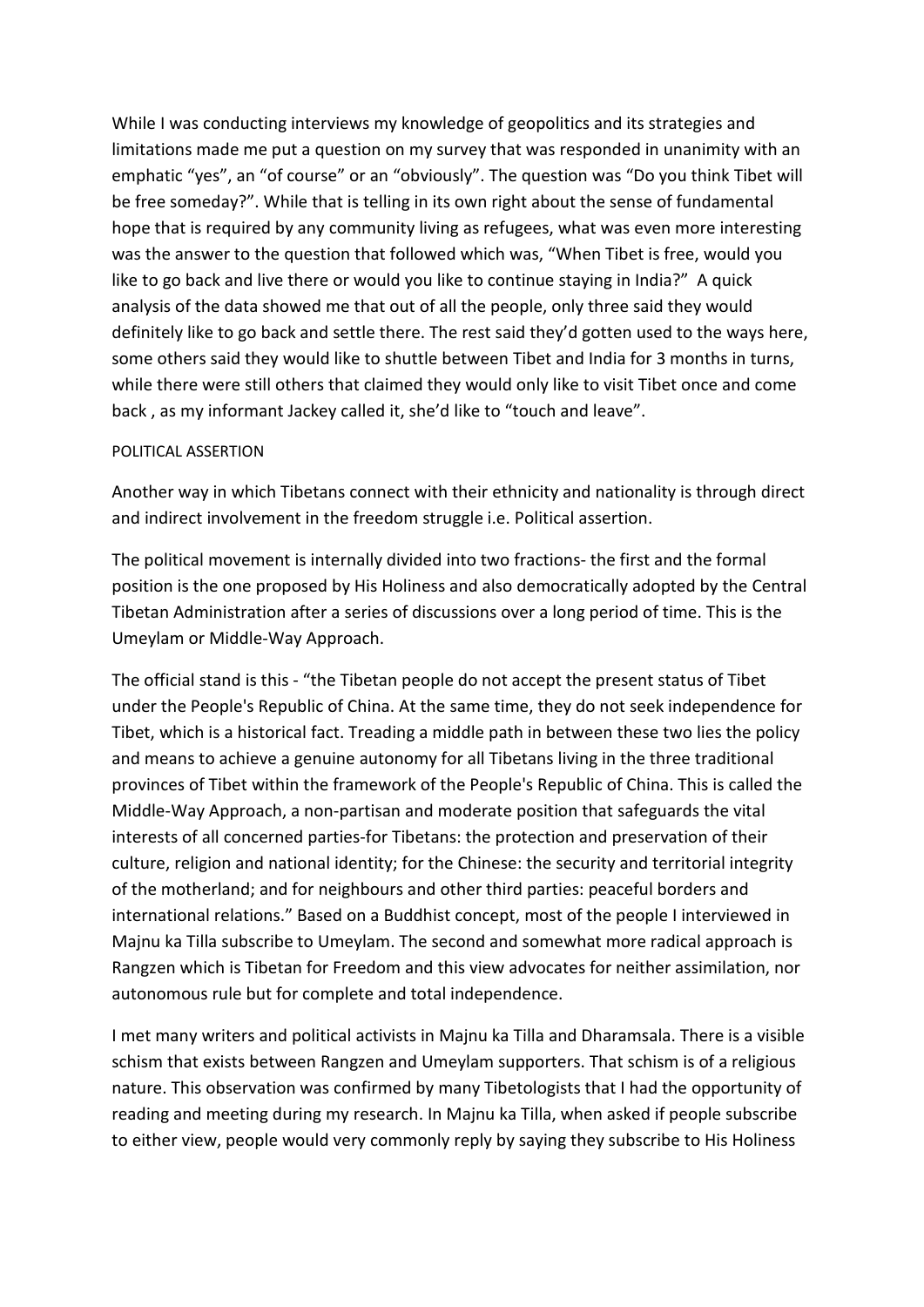While I was conducting interviews my knowledge of geopolitics and its strategies and limitations made me put a question on my survey that was responded in unanimity with an emphatic "yes", an "of course" or an "obviously". The question was "Do you think Tibet will be free someday?". While that is telling in its own right about the sense of fundamental hope that is required by any community living as refugees, what was even more interesting was the answer to the question that followed which was, "When Tibet is free, would you like to go back and live there or would you like to continue staying in India?" A quick analysis of the data showed me that out of all the people, only three said they would definitely like to go back and settle there. The rest said they'd gotten used to the ways here, some others said they would like to shuttle between Tibet and India for 3 months in turns, while there were still others that claimed they would only like to visit Tibet once and come back , as my informant Jackey called it, she'd like to "touch and leave".

#### POLITICAL ASSERTION

Another way in which Tibetans connect with their ethnicity and nationality is through direct and indirect involvement in the freedom struggle i.e. Political assertion.

The political movement is internally divided into two fractions- the first and the formal position is the one proposed by His Holiness and also democratically adopted by the Central Tibetan Administration after a series of discussions over a long period of time. This is the Umeylam or Middle-Way Approach.

The official stand is this - "the Tibetan people do not accept the present status of Tibet under the People's Republic of China. At the same time, they do not seek independence for Tibet, which is a historical fact. Treading a middle path in between these two lies the policy and means to achieve a genuine autonomy for all Tibetans living in the three traditional provinces of Tibet within the framework of the People's Republic of China. This is called the Middle-Way Approach, a non-partisan and moderate position that safeguards the vital interests of all concerned parties-for Tibetans: the protection and preservation of their culture, religion and national identity; for the Chinese: the security and territorial integrity of the motherland; and for neighbours and other third parties: peaceful borders and international relations." Based on a Buddhist concept, most of the people I interviewed in Majnu ka Tilla subscribe to Umeylam. The second and somewhat more radical approach is Rangzen which is Tibetan for Freedom and this view advocates for neither assimilation, nor autonomous rule but for complete and total independence.

I met many writers and political activists in Majnu ka Tilla and Dharamsala. There is a visible schism that exists between Rangzen and Umeylam supporters. That schism is of a religious nature. This observation was confirmed by many Tibetologists that I had the opportunity of reading and meeting during my research. In Majnu ka Tilla, when asked if people subscribe to either view, people would very commonly reply by saying they subscribe to His Holiness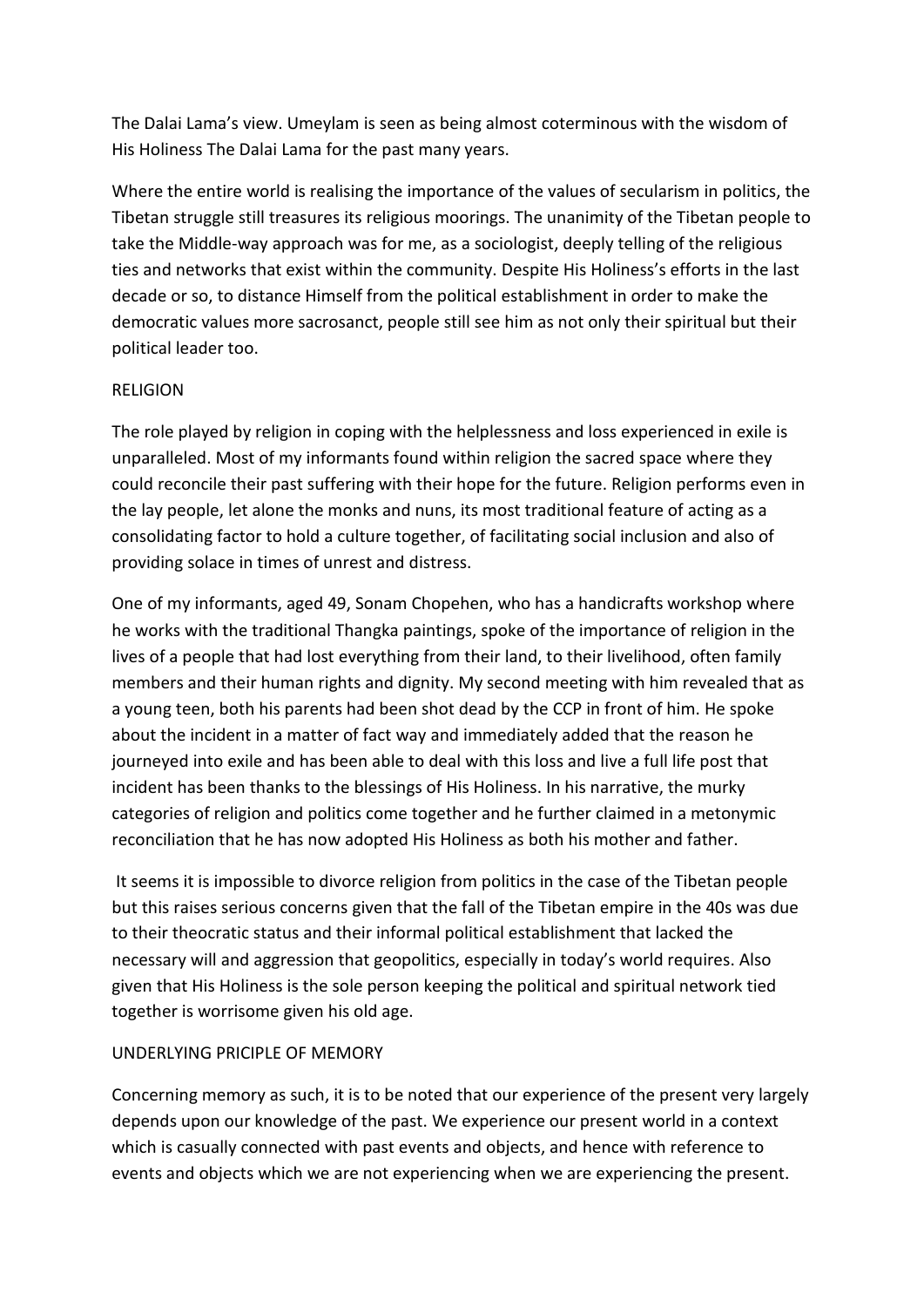The Dalai Lama's view. Umeylam is seen as being almost coterminous with the wisdom of His Holiness The Dalai Lama for the past many years.

Where the entire world is realising the importance of the values of secularism in politics, the Tibetan struggle still treasures its religious moorings. The unanimity of the Tibetan people to take the Middle-way approach was for me, as a sociologist, deeply telling of the religious ties and networks that exist within the community. Despite His Holiness's efforts in the last decade or so, to distance Himself from the political establishment in order to make the democratic values more sacrosanct, people still see him as not only their spiritual but their political leader too.

#### RELIGION

The role played by religion in coping with the helplessness and loss experienced in exile is unparalleled. Most of my informants found within religion the sacred space where they could reconcile their past suffering with their hope for the future. Religion performs even in the lay people, let alone the monks and nuns, its most traditional feature of acting as a consolidating factor to hold a culture together, of facilitating social inclusion and also of providing solace in times of unrest and distress.

One of my informants, aged 49, Sonam Chopehen, who has a handicrafts workshop where he works with the traditional Thangka paintings, spoke of the importance of religion in the lives of a people that had lost everything from their land, to their livelihood, often family members and their human rights and dignity. My second meeting with him revealed that as a young teen, both his parents had been shot dead by the CCP in front of him. He spoke about the incident in a matter of fact way and immediately added that the reason he journeyed into exile and has been able to deal with this loss and live a full life post that incident has been thanks to the blessings of His Holiness. In his narrative, the murky categories of religion and politics come together and he further claimed in a metonymic reconciliation that he has now adopted His Holiness as both his mother and father.

It seems it is impossible to divorce religion from politics in the case of the Tibetan people but this raises serious concerns given that the fall of the Tibetan empire in the 40s was due to their theocratic status and their informal political establishment that lacked the necessary will and aggression that geopolitics, especially in today's world requires. Also given that His Holiness is the sole person keeping the political and spiritual network tied together is worrisome given his old age.

## UNDERLYING PRICIPLE OF MEMORY

Concerning memory as such, it is to be noted that our experience of the present very largely depends upon our knowledge of the past. We experience our present world in a context which is casually connected with past events and objects, and hence with reference to events and objects which we are not experiencing when we are experiencing the present.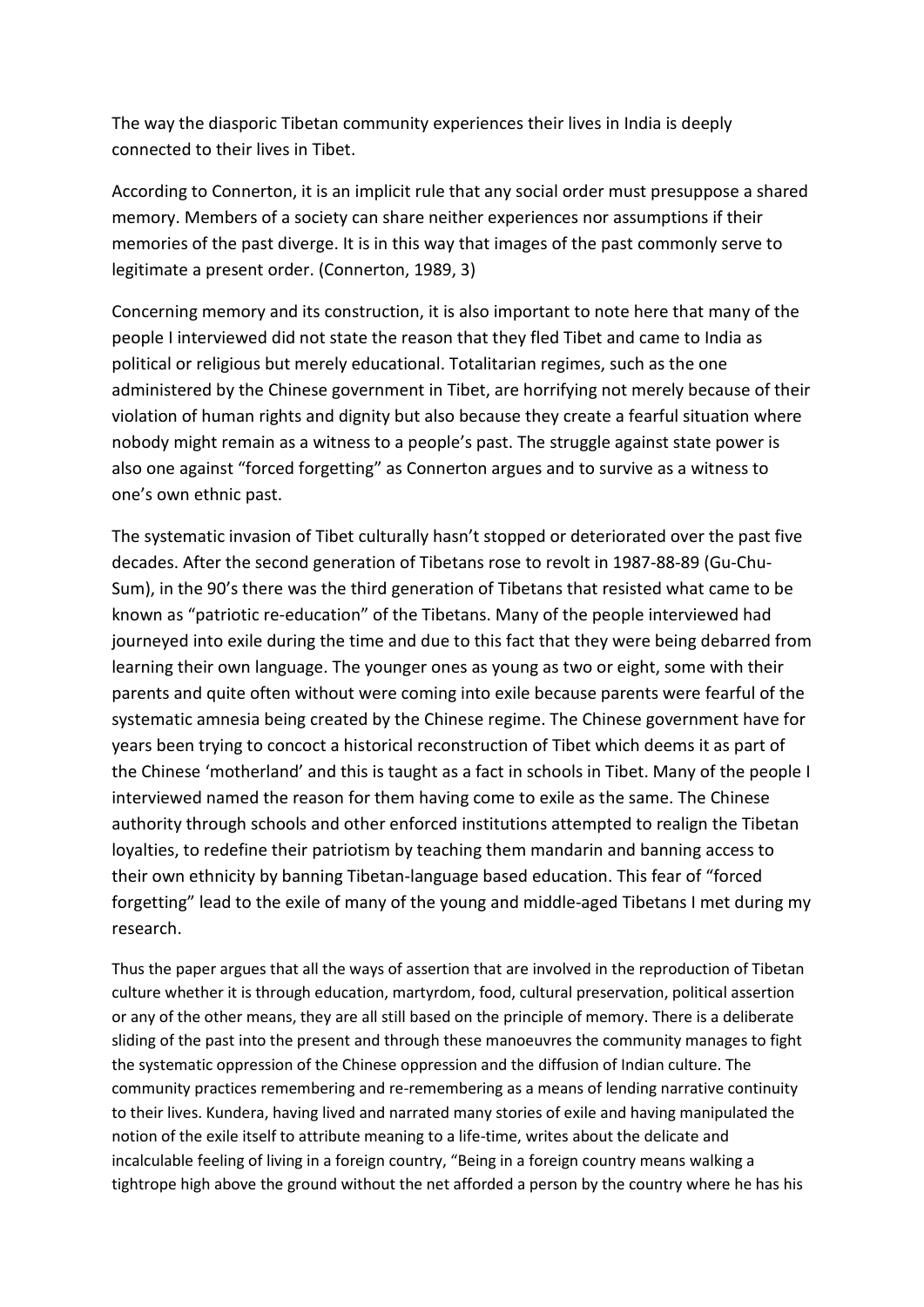The way the diasporic Tibetan community experiences their lives in India is deeply connected to their lives in Tibet.

According to Connerton, it is an implicit rule that any social order must presuppose a shared memory. Members of a society can share neither experiences nor assumptions if their memories of the past diverge. It is in this way that images of the past commonly serve to legitimate a present order. (Connerton, 1989, 3)

Concerning memory and its construction, it is also important to note here that many of the people I interviewed did not state the reason that they fled Tibet and came to India as political or religious but merely educational. Totalitarian regimes, such as the one administered by the Chinese government in Tibet, are horrifying not merely because of their violation of human rights and dignity but also because they create a fearful situation where nobody might remain as a witness to a people's past. The struggle against state power is also one against "forced forgetting" as Connerton argues and to survive as a witness to one's own ethnic past.

The systematic invasion of Tibet culturally hasn't stopped or deteriorated over the past five decades. After the second generation of Tibetans rose to revolt in 1987-88-89 (Gu-Chu-Sum), in the 90's there was the third generation of Tibetans that resisted what came to be known as "patriotic re-education" of the Tibetans. Many of the people interviewed had journeyed into exile during the time and due to this fact that they were being debarred from learning their own language. The younger ones as young as two or eight, some with their parents and quite often without were coming into exile because parents were fearful of the systematic amnesia being created by the Chinese regime. The Chinese government have for years been trying to concoct a historical reconstruction of Tibet which deems it as part of the Chinese 'motherland' and this is taught as a fact in schools in Tibet. Many of the people I interviewed named the reason for them having come to exile as the same. The Chinese authority through schools and other enforced institutions attempted to realign the Tibetan loyalties, to redefine their patriotism by teaching them mandarin and banning access to their own ethnicity by banning Tibetan-language based education. This fear of "forced forgetting" lead to the exile of many of the young and middle-aged Tibetans I met during my research.

Thus the paper argues that all the ways of assertion that are involved in the reproduction of Tibetan culture whether it is through education, martyrdom, food, cultural preservation, political assertion or any of the other means, they are all still based on the principle of memory. There is a deliberate sliding of the past into the present and through these manoeuvres the community manages to fight the systematic oppression of the Chinese oppression and the diffusion of Indian culture. The community practices remembering and re-remembering as a means of lending narrative continuity to their lives. Kundera, having lived and narrated many stories of exile and having manipulated the notion of the exile itself to attribute meaning to a life-time, writes about the delicate and incalculable feeling of living in a foreign country, "Being in a foreign country means walking a tightrope high above the ground without the net afforded a person by the country where he has his